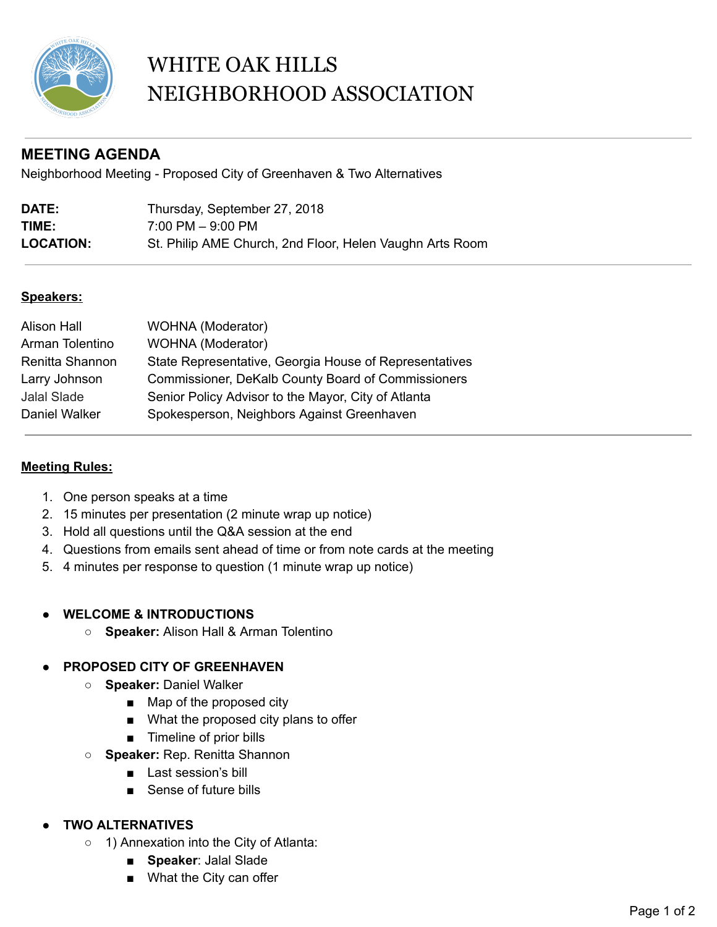

# WHITE OAK HILLS NEIGHBORHOOD ASSOCIATION

# **MEETING AGENDA**

Neighborhood Meeting - Proposed City of Greenhaven & Two Alternatives

| <b>DATE:</b>     | Thursday, September 27, 2018                             |
|------------------|----------------------------------------------------------|
| TIME:            | $7:00$ PM $-$ 9:00 PM                                    |
| <b>LOCATION:</b> | St. Philip AME Church, 2nd Floor, Helen Vaughn Arts Room |

### **Speakers:**

| <b>Alison Hall</b> | <b>WOHNA</b> (Moderator)                                  |
|--------------------|-----------------------------------------------------------|
| Arman Tolentino    | <b>WOHNA</b> (Moderator)                                  |
| Renitta Shannon    | State Representative, Georgia House of Representatives    |
| Larry Johnson      | <b>Commissioner, DeKalb County Board of Commissioners</b> |
| <b>Jalal Slade</b> | Senior Policy Advisor to the Mayor, City of Atlanta       |
| Daniel Walker      | Spokesperson, Neighbors Against Greenhaven                |

# **Meeting Rules:**

- 1. One person speaks at a time
- 2. 15 minutes per presentation (2 minute wrap up notice)
- 3. Hold all questions until the Q&A session at the end
- 4. Questions from emails sent ahead of time or from note cards at the meeting
- 5. 4 minutes per response to question (1 minute wrap up notice)

#### **● WELCOME & INTRODUCTIONS**

**○ Speaker:** Alison Hall & Arman Tolentino

# **● PROPOSED CITY OF GREENHAVEN**

- **○ Speaker:** Daniel Walker
	- Map of the proposed city
	- What the proposed city plans to offer
	- Timeline of prior bills
- **○ Speaker:** Rep. Renitta Shannon
	- Last session's bill
	- Sense of future bills

# **● TWO ALTERNATIVES**

- 1) Annexation into the City of Atlanta:
	- **Speaker**: Jalal Slade
	- What the City can offer